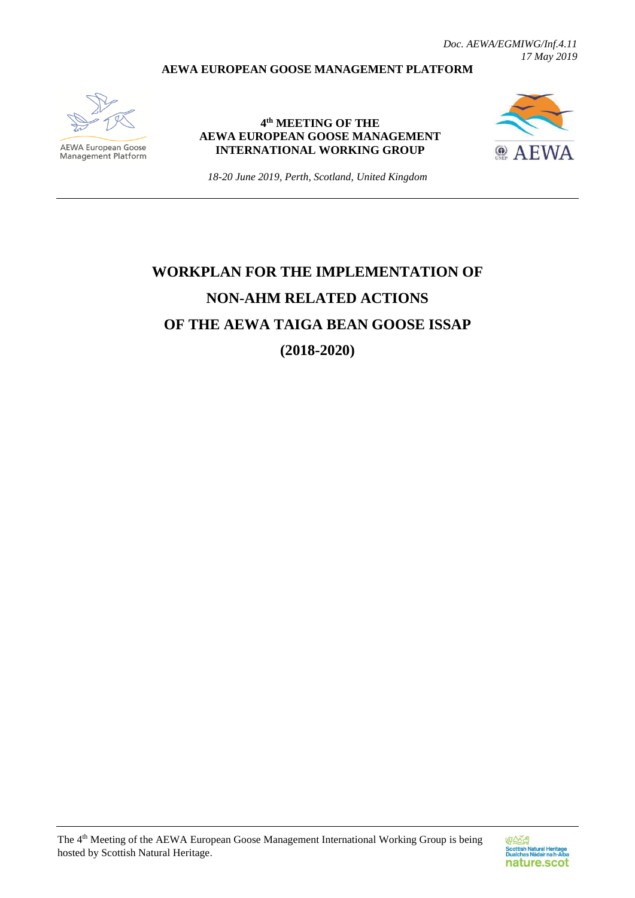*Doc. AEWA/EGMIWG/Inf.4.11 17 May 2019*

## **AEWA EUROPEAN GOOSE MANAGEMENT PLATFORM**



**AEWA European Goose** Management Platform

**4 th MEETING OF THE AEWA EUROPEAN GOOSE MANAGEMENT INTERNATIONAL WORKING GROUP**



*18-20 June 2019, Perth, Scotland, United Kingdom*

## **WORKPLAN FOR THE IMPLEMENTATION OF NON-AHM RELATED ACTIONS OF THE AEWA TAIGA BEAN GOOSE ISSAP (2018-2020)**

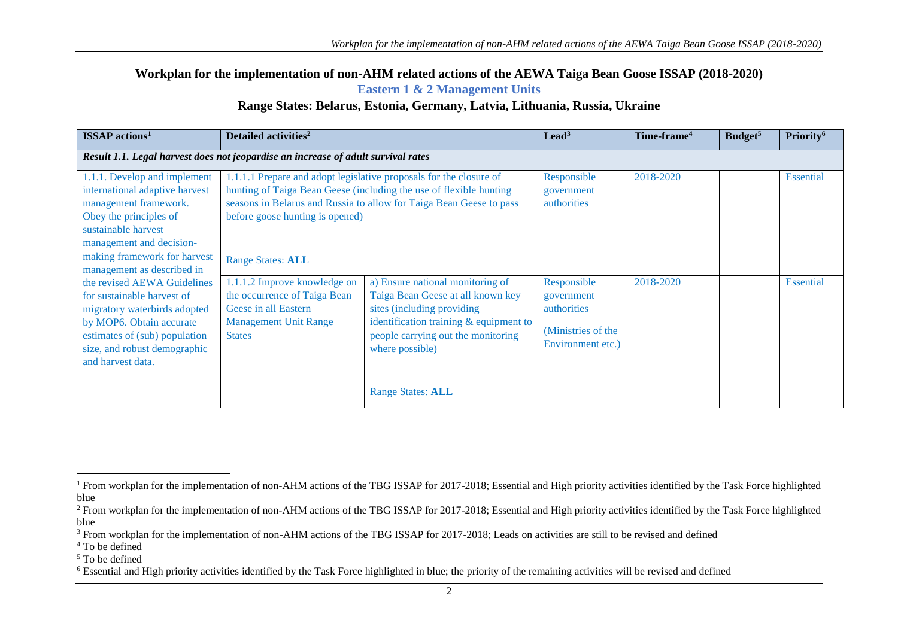**Workplan for the implementation of non-AHM related actions of the AEWA Taiga Bean Goose ISSAP (2018-2020)**

**Eastern 1 & 2 Management Units** 

## **Range States: Belarus, Estonia, Germany, Latvia, Lithuania, Russia, Ukraine**

| <b>ISSAP</b> actions <sup>1</sup>                                                                                                                                                                                                  | Detailed activities <sup>2</sup>                                                                                                      |                                                                                                                                                                                                                                       | $\text{lead}^3$                                                                     | Time-frame <sup>4</sup> | Budget <sup>5</sup> | Priority <sup>6</sup> |  |
|------------------------------------------------------------------------------------------------------------------------------------------------------------------------------------------------------------------------------------|---------------------------------------------------------------------------------------------------------------------------------------|---------------------------------------------------------------------------------------------------------------------------------------------------------------------------------------------------------------------------------------|-------------------------------------------------------------------------------------|-------------------------|---------------------|-----------------------|--|
| Result 1.1. Legal harvest does not jeopardise an increase of adult survival rates                                                                                                                                                  |                                                                                                                                       |                                                                                                                                                                                                                                       |                                                                                     |                         |                     |                       |  |
| 1.1.1. Develop and implement<br>international adaptive harvest<br>management framework.<br>Obey the principles of<br>sustainable harvest<br>management and decision-<br>making framework for harvest<br>management as described in | before goose hunting is opened)<br><b>Range States: ALL</b>                                                                           | 1.1.1.1 Prepare and adopt legislative proposals for the closure of<br>hunting of Taiga Bean Geese (including the use of flexible hunting<br>seasons in Belarus and Russia to allow for Taiga Bean Geese to pass                       | Responsible<br>government<br>authorities                                            | 2018-2020               |                     | <b>Essential</b>      |  |
| the revised AEWA Guidelines<br>for sustainable harvest of<br>migratory waterbirds adopted<br>by MOP6. Obtain accurate<br>estimates of (sub) population<br>size, and robust demographic<br>and harvest data.                        | 1.1.1.2 Improve knowledge on<br>the occurrence of Taiga Bean<br>Geese in all Eastern<br><b>Management Unit Range</b><br><b>States</b> | a) Ensure national monitoring of<br>Taiga Bean Geese at all known key<br>sites (including providing)<br>identification training $&$ equipment to<br>people carrying out the monitoring<br>where possible)<br><b>Range States: ALL</b> | Responsible<br>government<br>authorities<br>(Ministries of the<br>Environment etc.) | 2018-2020               |                     | <b>Essential</b>      |  |

 $\overline{a}$ 

<sup>5</sup> To be defined

<sup>&</sup>lt;sup>1</sup> From workplan for the implementation of non-AHM actions of the TBG ISSAP for 2017-2018; Essential and High priority activities identified by the Task Force highlighted blue

<sup>&</sup>lt;sup>2</sup> From workplan for the implementation of non-AHM actions of the TBG ISSAP for 2017-2018; Essential and High priority activities identified by the Task Force highlighted blue

<sup>&</sup>lt;sup>3</sup> From workplan for the implementation of non-AHM actions of the TBG ISSAP for 2017-2018; Leads on activities are still to be revised and defined

 $4$  To be defined

<sup>&</sup>lt;sup>6</sup> Essential and High priority activities identified by the Task Force highlighted in blue; the priority of the remaining activities will be revised and defined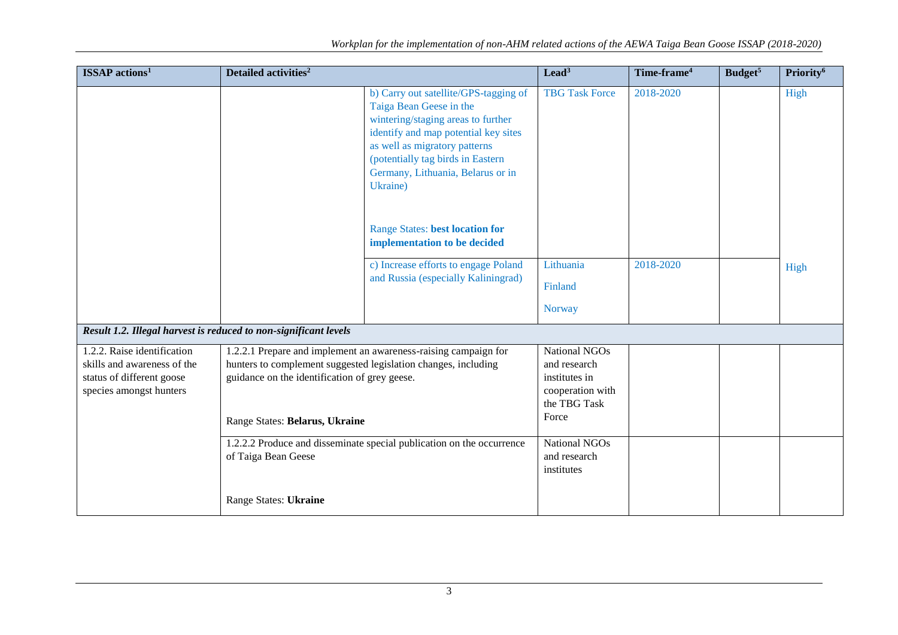| <b>ISSAP</b> actions <sup>1</sup>                                                                                  | Detailed activities <sup>2</sup>                                                                                                                                                                                                                                                              |                                                                                                                                                                                                                                                                       | $\text{lead}^3$                                                                                                            | Time-frame <sup>4</sup> | Budget <sup>5</sup> | Priority <sup>6</sup> |
|--------------------------------------------------------------------------------------------------------------------|-----------------------------------------------------------------------------------------------------------------------------------------------------------------------------------------------------------------------------------------------------------------------------------------------|-----------------------------------------------------------------------------------------------------------------------------------------------------------------------------------------------------------------------------------------------------------------------|----------------------------------------------------------------------------------------------------------------------------|-------------------------|---------------------|-----------------------|
|                                                                                                                    |                                                                                                                                                                                                                                                                                               | b) Carry out satellite/GPS-tagging of<br>Taiga Bean Geese in the<br>wintering/staging areas to further<br>identify and map potential key sites<br>as well as migratory patterns<br>(potentially tag birds in Eastern<br>Germany, Lithuania, Belarus or in<br>Ukraine) | <b>TBG Task Force</b>                                                                                                      | 2018-2020               |                     | High                  |
|                                                                                                                    |                                                                                                                                                                                                                                                                                               | <b>Range States: best location for</b><br>implementation to be decided                                                                                                                                                                                                |                                                                                                                            |                         |                     |                       |
|                                                                                                                    |                                                                                                                                                                                                                                                                                               | c) Increase efforts to engage Poland                                                                                                                                                                                                                                  | Lithuania                                                                                                                  | 2018-2020               |                     | High                  |
|                                                                                                                    |                                                                                                                                                                                                                                                                                               | and Russia (especially Kaliningrad)                                                                                                                                                                                                                                   | Finland                                                                                                                    |                         |                     |                       |
|                                                                                                                    |                                                                                                                                                                                                                                                                                               |                                                                                                                                                                                                                                                                       | <b>Norway</b>                                                                                                              |                         |                     |                       |
| Result 1.2. Illegal harvest is reduced to non-significant levels                                                   |                                                                                                                                                                                                                                                                                               |                                                                                                                                                                                                                                                                       |                                                                                                                            |                         |                     |                       |
| 1.2.2. Raise identification<br>skills and awareness of the<br>status of different goose<br>species amongst hunters | 1.2.2.1 Prepare and implement an awareness-raising campaign for<br>hunters to complement suggested legislation changes, including<br>guidance on the identification of grey geese.<br>Range States: Belarus, Ukraine<br>1.2.2.2 Produce and disseminate special publication on the occurrence |                                                                                                                                                                                                                                                                       | <b>National NGOs</b><br>and research<br>institutes in<br>cooperation with<br>the TBG Task<br>Force<br><b>National NGOs</b> |                         |                     |                       |
|                                                                                                                    | of Taiga Bean Geese<br>Range States: Ukraine                                                                                                                                                                                                                                                  |                                                                                                                                                                                                                                                                       | and research<br>institutes                                                                                                 |                         |                     |                       |
|                                                                                                                    |                                                                                                                                                                                                                                                                                               |                                                                                                                                                                                                                                                                       |                                                                                                                            |                         |                     |                       |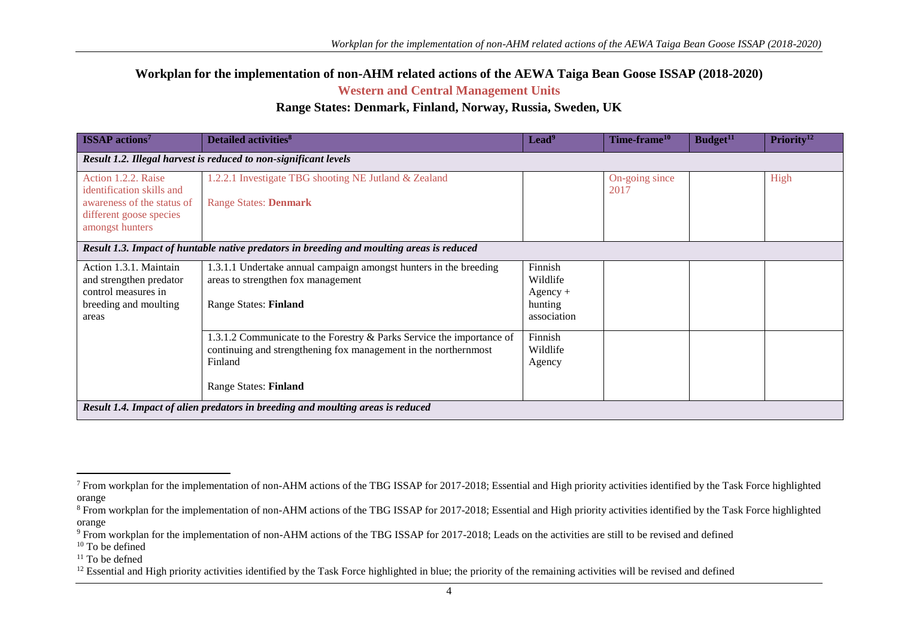**Workplan for the implementation of non-AHM related actions of the AEWA Taiga Bean Goose ISSAP (2018-2020)**

**Western and Central Management Units**

## **Range States: Denmark, Finland, Norway, Russia, Sweden, UK**

| <b>ISSAP</b> actions <sup>7</sup>                                                                                            | <b>Detailed activities</b> <sup>8</sup>                                                                                                                                      | Lead <sup>9</sup>                                           | Time-frame <sup>10</sup> | Budget <sup>11</sup> | Priority <sup>12</sup> |  |  |
|------------------------------------------------------------------------------------------------------------------------------|------------------------------------------------------------------------------------------------------------------------------------------------------------------------------|-------------------------------------------------------------|--------------------------|----------------------|------------------------|--|--|
| Result 1.2. Illegal harvest is reduced to non-significant levels                                                             |                                                                                                                                                                              |                                                             |                          |                      |                        |  |  |
| Action 1.2.2. Raise<br>identification skills and<br>awareness of the status of<br>different goose species<br>amongst hunters | 1.2.2.1 Investigate TBG shooting NE Jutland & Zealand<br><b>Range States: Denmark</b>                                                                                        |                                                             | On-going since<br>2017   |                      | High                   |  |  |
| Result 1.3. Impact of huntable native predators in breeding and moulting areas is reduced                                    |                                                                                                                                                                              |                                                             |                          |                      |                        |  |  |
| Action 1.3.1. Maintain<br>and strengthen predator<br>control measures in<br>breeding and moulting<br>areas                   | 1.3.1.1 Undertake annual campaign amongst hunters in the breeding<br>areas to strengthen fox management<br><b>Range States: Finland</b>                                      | Finnish<br>Wildlife<br>$Agency +$<br>hunting<br>association |                          |                      |                        |  |  |
|                                                                                                                              | 1.3.1.2 Communicate to the Forestry & Parks Service the importance of<br>continuing and strengthening fox management in the northernmost<br>Finland<br>Range States: Finland | Finnish<br>Wildlife<br>Agency                               |                          |                      |                        |  |  |
| Result 1.4. Impact of alien predators in breeding and moulting areas is reduced                                              |                                                                                                                                                                              |                                                             |                          |                      |                        |  |  |

 $11$  To be defned

 $\overline{a}$ 

 $7$  From workplan for the implementation of non-AHM actions of the TBG ISSAP for 2017-2018; Essential and High priority activities identified by the Task Force highlighted orange

<sup>&</sup>lt;sup>8</sup> From workplan for the implementation of non-AHM actions of the TBG ISSAP for 2017-2018; Essential and High priority activities identified by the Task Force highlighted orange

<sup>&</sup>lt;sup>9</sup> From workplan for the implementation of non-AHM actions of the TBG ISSAP for 2017-2018; Leads on the activities are still to be revised and defined

 $10$  To be defined

<sup>&</sup>lt;sup>12</sup> Essential and High priority activities identified by the Task Force highlighted in blue; the priority of the remaining activities will be revised and defined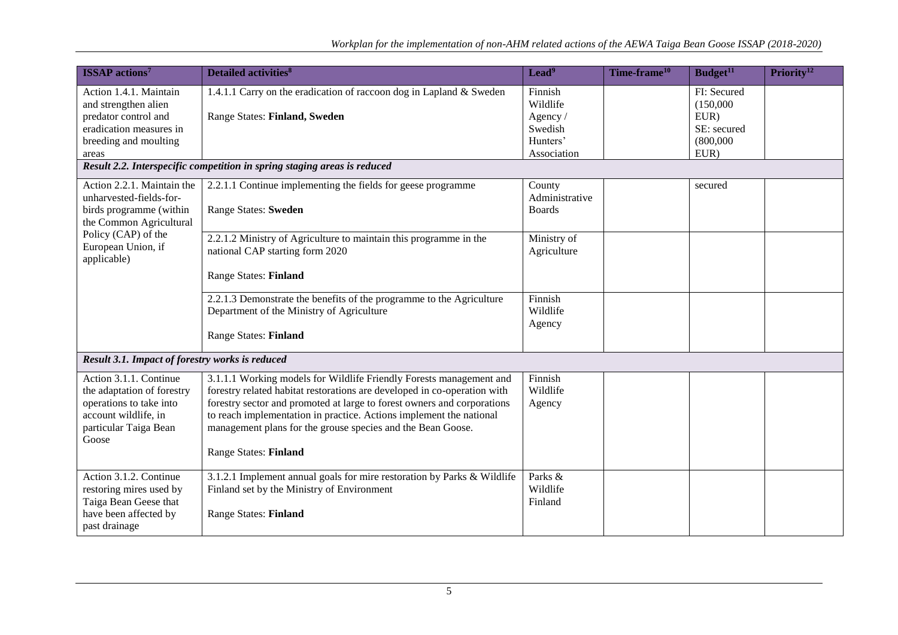| <b>ISSAP</b> actions <sup>7</sup>                                                                                                                                       | <b>Detailed activities</b> <sup>8</sup>                                                                                                                                                                                                                                                                                                                                                   | Lead <sup>9</sup>                                     | Time-frame <sup>10</sup> | Budget <sup>11</sup>                                         | Priority <sup>12</sup> |
|-------------------------------------------------------------------------------------------------------------------------------------------------------------------------|-------------------------------------------------------------------------------------------------------------------------------------------------------------------------------------------------------------------------------------------------------------------------------------------------------------------------------------------------------------------------------------------|-------------------------------------------------------|--------------------------|--------------------------------------------------------------|------------------------|
| Action 1.4.1. Maintain<br>and strengthen alien<br>predator control and<br>eradication measures in<br>breeding and moulting                                              | 1.4.1.1 Carry on the eradication of raccoon dog in Lapland & Sweden<br>Range States: Finland, Sweden                                                                                                                                                                                                                                                                                      | Finnish<br>Wildlife<br>Agency/<br>Swedish<br>Hunters' |                          | FI: Secured<br>(150,000)<br>EUR)<br>SE: secured<br>(800,000) |                        |
| areas                                                                                                                                                                   | Result 2.2. Interspecific competition in spring staging areas is reduced                                                                                                                                                                                                                                                                                                                  | Association                                           |                          | EUR)                                                         |                        |
| Action 2.2.1. Maintain the<br>unharvested-fields-for-<br>birds programme (within<br>the Common Agricultural<br>Policy (CAP) of the<br>European Union, if<br>applicable) | 2.2.1.1 Continue implementing the fields for geese programme<br>Range States: Sweden                                                                                                                                                                                                                                                                                                      | County<br>Administrative<br><b>Boards</b>             |                          | secured                                                      |                        |
|                                                                                                                                                                         | 2.2.1.2 Ministry of Agriculture to maintain this programme in the<br>national CAP starting form 2020                                                                                                                                                                                                                                                                                      | Ministry of<br>Agriculture                            |                          |                                                              |                        |
|                                                                                                                                                                         | <b>Range States: Finland</b>                                                                                                                                                                                                                                                                                                                                                              |                                                       |                          |                                                              |                        |
|                                                                                                                                                                         | 2.2.1.3 Demonstrate the benefits of the programme to the Agriculture<br>Department of the Ministry of Agriculture<br><b>Range States: Finland</b>                                                                                                                                                                                                                                         | Finnish<br>Wildlife<br>Agency                         |                          |                                                              |                        |
| Result 3.1. Impact of forestry works is reduced                                                                                                                         |                                                                                                                                                                                                                                                                                                                                                                                           |                                                       |                          |                                                              |                        |
| Action 3.1.1. Continue<br>the adaptation of forestry<br>operations to take into<br>account wildlife, in<br>particular Taiga Bean<br>Goose                               | 3.1.1.1 Working models for Wildlife Friendly Forests management and<br>forestry related habitat restorations are developed in co-operation with<br>forestry sector and promoted at large to forest owners and corporations<br>to reach implementation in practice. Actions implement the national<br>management plans for the grouse species and the Bean Goose.<br>Range States: Finland | Finnish<br>Wildlife<br>Agency                         |                          |                                                              |                        |
| Action 3.1.2. Continue<br>restoring mires used by<br>Taiga Bean Geese that<br>have been affected by<br>past drainage                                                    | 3.1.2.1 Implement annual goals for mire restoration by Parks & Wildlife<br>Finland set by the Ministry of Environment<br><b>Range States: Finland</b>                                                                                                                                                                                                                                     | Parks &<br>Wildlife<br>Finland                        |                          |                                                              |                        |